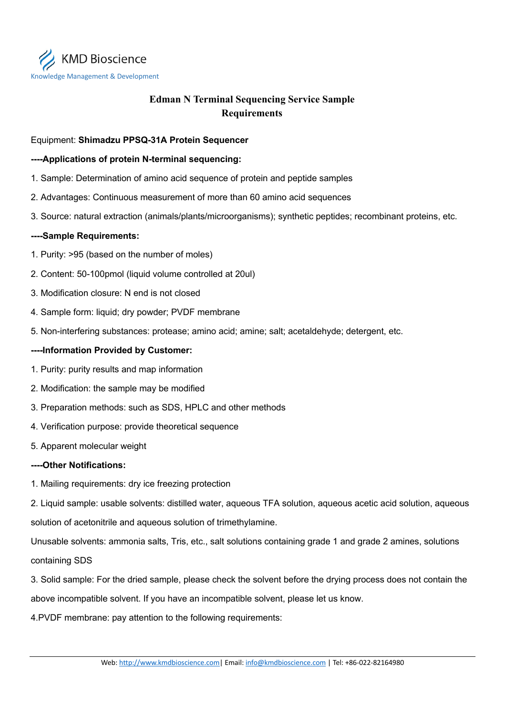

# **Edman N Terminal Sequencing Service Sample Requirements**

## Equipment: **Shimadzu PPSQ-31A Protein Sequencer**

### **----Applications of protein N-terminal sequencing:**

- 1. Sample: Determination of amino acid sequence of protein and peptide samples
- 2. Advantages: Continuous measurement of more than 60 amino acid sequences
- 3. Source: natural extraction (animals/plants/microorganisms); synthetic peptides; recombinant proteins, etc.

#### **----Sample Requirements:**

- 1. Purity: >95 (based on the number of moles)
- 2. Content: 50-100pmol (liquid volume controlled at 20ul)
- 3. Modification closure: N end is not closed
- 4. Sample form: liquid; dry powder; PVDF membrane
- 5. Non-interfering substances: protease; amino acid; amine; salt; acetaldehyde; detergent, etc.

### **----Information Provided by Customer:**

- 1. Purity: purity results and map information
- 2. Modification: the sample may be modified
- 3. Preparation methods: such as SDS, HPLC and other methods
- 4. Verification purpose: provide theoretical sequence
- 5. Apparent molecular weight

#### **----Other Notifications:**

1. Mailing requirements: dry ice freezing protection

2. Liquid sample: usable solvents: distilled water, aqueous TFA solution, aqueous acetic acid solution, aqueous solution of acetonitrile and aqueous solution of trimethylamine.

Unusable solvents: ammonia salts, Tris, etc., salt solutions containing grade 1 and grade 2 amines, solutions containing SDS

3. Solid sample: For the dried sample, please check the solvent before the drying process does not contain the above incompatible solvent. If you have an incompatible solvent, please let us know.

4.PVDF membrane: pay attention to the following requirements: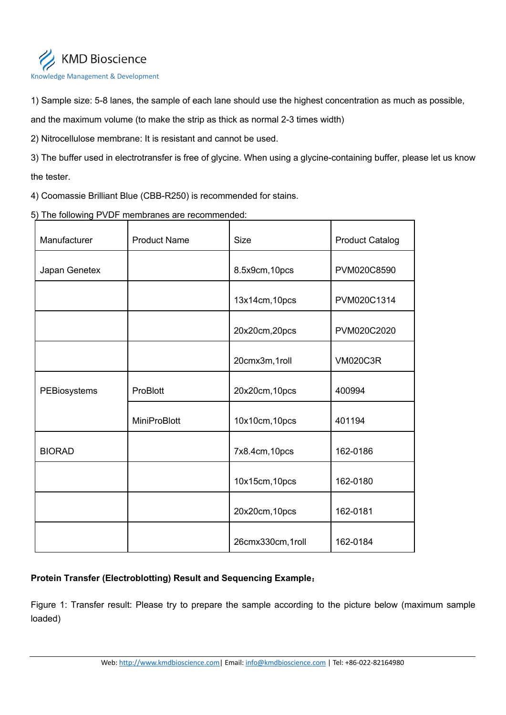

1) Sample size: 5-8 lanes, the sample of each lane should use the highest concentration as much as possible,

and the maximum volume (to make the strip as thick as normal 2-3 times width)

2) Nitrocellulose membrane: It is resistant and cannot be used.

3) The buffer used in electrotransfer is free of glycine. When using a glycine-containing buffer, please let us know the tester.

4) Coomassie Brilliant Blue (CBB-R250) is recommended for stains.

5) The following PVDF membranes are recommended:

| Manufacturer  | <b>Product Name</b> | <b>Size</b>      | <b>Product Catalog</b> |
|---------------|---------------------|------------------|------------------------|
| Japan Genetex |                     | 8.5x9cm, 10pcs   | PVM020C8590            |
|               |                     | 13x14cm, 10pcs   | PVM020C1314            |
|               |                     | 20x20cm,20pcs    | PVM020C2020            |
|               |                     | 20cmx3m,1roll    | <b>VM020C3R</b>        |
| PEBiosystems  | ProBlott            | 20x20cm, 10pcs   | 400994                 |
|               | <b>MiniProBlott</b> | 10x10cm, 10pcs   | 401194                 |
| <b>BIORAD</b> |                     | 7x8.4cm, 10pcs   | 162-0186               |
|               |                     | 10x15cm, 10pcs   | 162-0180               |
|               |                     | 20x20cm, 10pcs   | 162-0181               |
|               |                     | 26cmx330cm,1roll | 162-0184               |

# **Protein Transfer (Electroblotting) Result and Sequencing Example**:

Figure 1: Transfer result: Please try to prepare the sample according to the picture below (maximum sample loaded)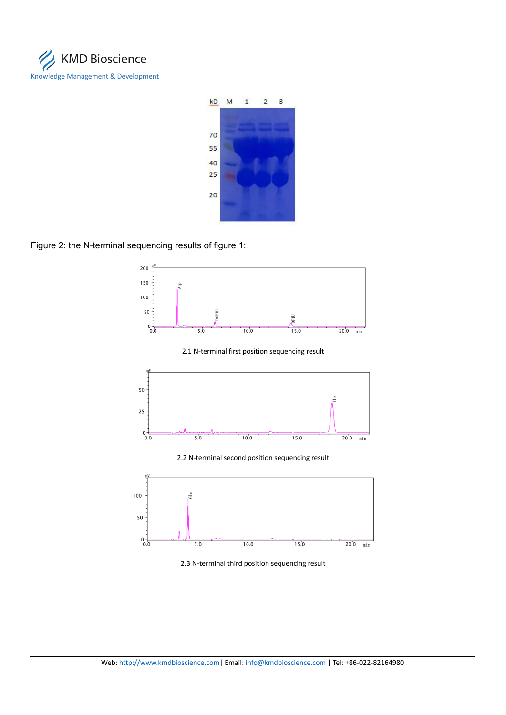



### Figure 2: the N-terminal sequencing results of figure 1:





2.3 N-terminal third position sequencing result